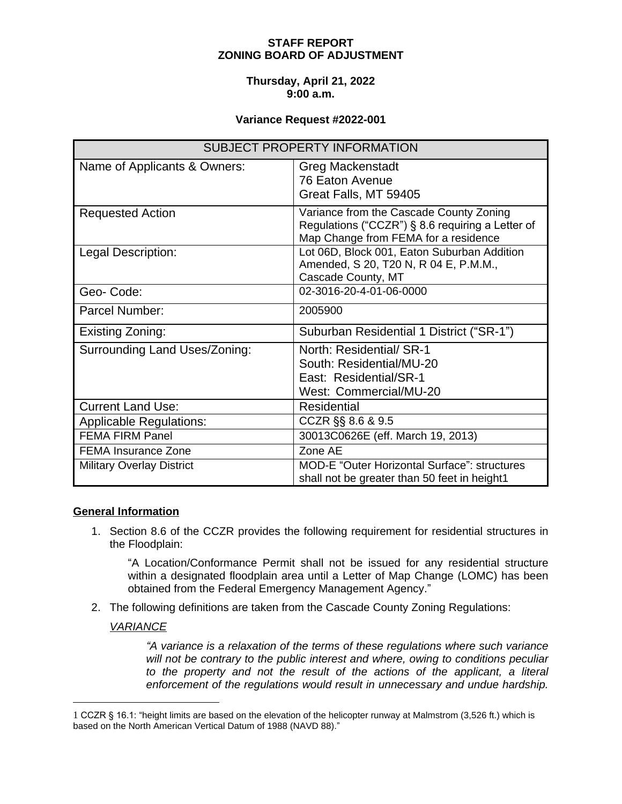# **STAFF REPORT ZONING BOARD OF ADJUSTMENT**

### **Thursday, April 21, 2022 9:00 a.m.**

### **Variance Request #2022-001**

| <b>SUBJECT PROPERTY INFORMATION</b> |                                                                                                                                     |
|-------------------------------------|-------------------------------------------------------------------------------------------------------------------------------------|
| Name of Applicants & Owners:        | <b>Greg Mackenstadt</b><br>76 Eaton Avenue<br>Great Falls, MT 59405                                                                 |
| <b>Requested Action</b>             | Variance from the Cascade County Zoning<br>Regulations ("CCZR") § 8.6 requiring a Letter of<br>Map Change from FEMA for a residence |
| Legal Description:                  | Lot 06D, Block 001, Eaton Suburban Addition<br>Amended, S 20, T20 N, R 04 E, P.M.M.,<br>Cascade County, MT                          |
| Geo-Code:                           | 02-3016-20-4-01-06-0000                                                                                                             |
| Parcel Number:                      | 2005900                                                                                                                             |
| Existing Zoning:                    | Suburban Residential 1 District ("SR-1")                                                                                            |
| Surrounding Land Uses/Zoning:       | North: Residential/ SR-1<br>South: Residential/MU-20<br>East: Residential/SR-1<br>West: Commercial/MU-20                            |
| <b>Current Land Use:</b>            | Residential                                                                                                                         |
| <b>Applicable Regulations:</b>      | CCZR §§ 8.6 & 9.5                                                                                                                   |
| <b>FEMA FIRM Panel</b>              | 30013C0626E (eff. March 19, 2013)                                                                                                   |
| <b>FEMA Insurance Zone</b>          | Zone AE                                                                                                                             |
| <b>Military Overlay District</b>    | <b>MOD-E "Outer Horizontal Surface": structures</b><br>shall not be greater than 50 feet in height1                                 |

#### **General Information**

1. Section 8.6 of the CCZR provides the following requirement for residential structures in the Floodplain:

"A Location/Conformance Permit shall not be issued for any residential structure within a designated floodplain area until a Letter of Map Change (LOMC) has been obtained from the Federal Emergency Management Agency."

2. The following definitions are taken from the Cascade County Zoning Regulations:

# *VARIANCE*

*"A variance is a relaxation of the terms of these regulations where such variance will not be contrary to the public interest and where, owing to conditions peculiar to the property and not the result of the actions of the applicant, a literal enforcement of the regulations would result in unnecessary and undue hardship.*

<sup>1</sup> CCZR § 16.1: "height limits are based on the elevation of the helicopter runway at Malmstrom (3,526 ft.) which is based on the North American Vertical Datum of 1988 (NAVD 88)."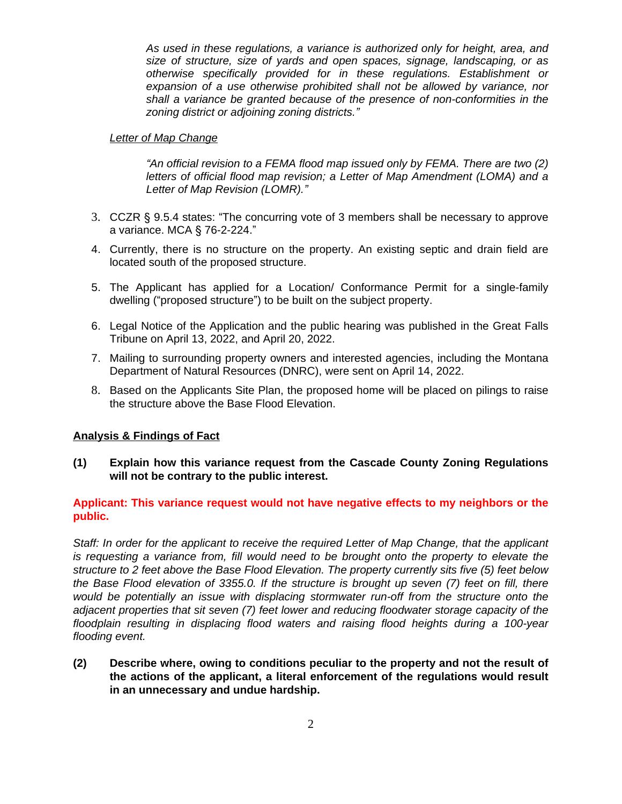*As used in these regulations, a variance is authorized only for height, area, and size of structure, size of yards and open spaces, signage, landscaping, or as otherwise specifically provided for in these regulations. Establishment or expansion of a use otherwise prohibited shall not be allowed by variance, nor shall a variance be granted because of the presence of non-conformities in the zoning district or adjoining zoning districts."*

## *Letter of Map Change*

*"An official revision to a FEMA flood map issued only by FEMA. There are two (2) letters of official flood map revision; a Letter of Map Amendment (LOMA) and a Letter of Map Revision (LOMR)."*

- 3. CCZR § 9.5.4 states: "The concurring vote of 3 members shall be necessary to approve a variance. MCA § 76-2-224."
- 4. Currently, there is no structure on the property. An existing septic and drain field are located south of the proposed structure.
- 5. The Applicant has applied for a Location/ Conformance Permit for a single-family dwelling ("proposed structure") to be built on the subject property.
- 6. Legal Notice of the Application and the public hearing was published in the Great Falls Tribune on April 13, 2022, and April 20, 2022.
- 7. Mailing to surrounding property owners and interested agencies, including the Montana Department of Natural Resources (DNRC), were sent on April 14, 2022.
- 8. Based on the Applicants Site Plan, the proposed home will be placed on pilings to raise the structure above the Base Flood Elevation.

# **Analysis & Findings of Fact**

**(1) Explain how this variance request from the Cascade County Zoning Regulations will not be contrary to the public interest.**

## **Applicant: This variance request would not have negative effects to my neighbors or the public.**

*Staff: In order for the applicant to receive the required Letter of Map Change, that the applicant is requesting a variance from, fill would need to be brought onto the property to elevate the structure to 2 feet above the Base Flood Elevation. The property currently sits five (5) feet below the Base Flood elevation of 3355.0. If the structure is brought up seven (7) feet on fill, there would be potentially an issue with displacing stormwater run-off from the structure onto the adjacent properties that sit seven (7) feet lower and reducing floodwater storage capacity of the floodplain resulting in displacing flood waters and raising flood heights during a 100-year flooding event.*

**(2) Describe where, owing to conditions peculiar to the property and not the result of the actions of the applicant, a literal enforcement of the regulations would result in an unnecessary and undue hardship.**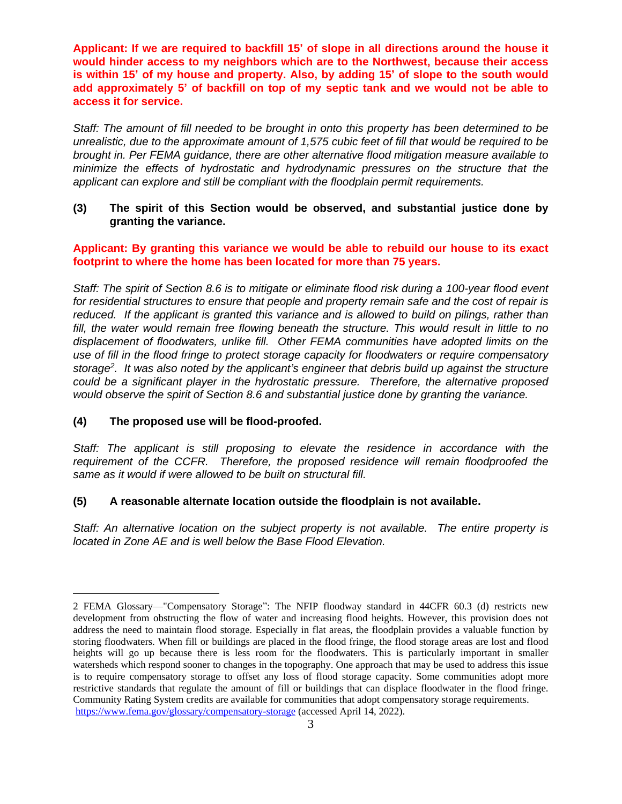**Applicant: If we are required to backfill 15' of slope in all directions around the house it would hinder access to my neighbors which are to the Northwest, because their access** is within 15' of my house and property. Also, by adding 15' of slope to the south would **add approximately 5' of backfill on top of my septic tank and we would not be able to access it for service.**

*Staff: The amount of fill needed to be brought in onto this property has been determined to be* unrealistic, due to the approximate amount of 1,575 cubic feet of fill that would be required to be *brought in. Per FEMA guidance, there are other alternative flood mitigation measure available to minimize the effects of hydrostatic and hydrodynamic pressures on the structure that the applicant can explore and still be compliant with the floodplain permit requirements.*

## **(3) The spirit of this Section would be observed, and substantial justice done by granting the variance.**

## **Applicant: By granting this variance we would be able to rebuild our house to its exact footprint to where the home has been located for more than 75 years.**

Staff: The spirit of Section 8.6 is to mitigate or eliminate flood risk during a 100-year flood event *for residential structures to ensure that people and property remain safe and the cost of repair is reduced. If the applicant is granted this variance and is allowed to build on pilings, rather than fill, the water would remain free flowing beneath the structure. This would result in little to no displacement of floodwaters, unlike fill. Other FEMA communities have adopted limits on the use of fill in the flood fringe to protect storage capacity for floodwaters or require compensatory* storage<sup>2</sup>. It was also noted by the applicant's engineer that debris build up against the structure *could be a significant player in the hydrostatic pressure. Therefore, the alternative proposed would observe the spirit of Section 8.6 and substantial justice done by granting the variance.*

# **(4) The proposed use will be flood-proofed.**

*Staff: The applicant is still proposing to elevate the residence in accordance with the requirement of the CCFR. Therefore, the proposed residence will remain floodproofed the same as it would if were allowed to be built on structural fill.*

#### **(5) A reasonable alternate location outside the floodplain is not available.**

*Staff: An alternative location on the subject property is not available. The entire property is located in Zone AE and is well below the Base Flood Elevation.*

<sup>2</sup> FEMA Glossary—"Compensatory Storage": The NFIP floodway standard in 44CFR 60.3 (d) restricts new development from obstructing the flow of water and increasing flood heights. However, this provision does not address the need to maintain flood storage. Especially in flat areas, the floodplain provides a valuable function by storing floodwaters. When fill or buildings are placed in the flood fringe, the flood storage areas are lost and flood heights will go up because there is less room for the floodwaters. This is particularly important in smaller watersheds which respond sooner to changes in the topography. One approach that may be used to address this issue is to require compensatory storage to offset any loss of flood storage capacity. Some communities adopt more restrictive standards that regulate the amount of fill or buildings that can displace floodwater in the flood fringe. Community Rating System credits are available for communities that adopt compensatory storage requirements. <https://www.fema.gov/glossary/compensatory-storage> (accessed April 14, 2022).